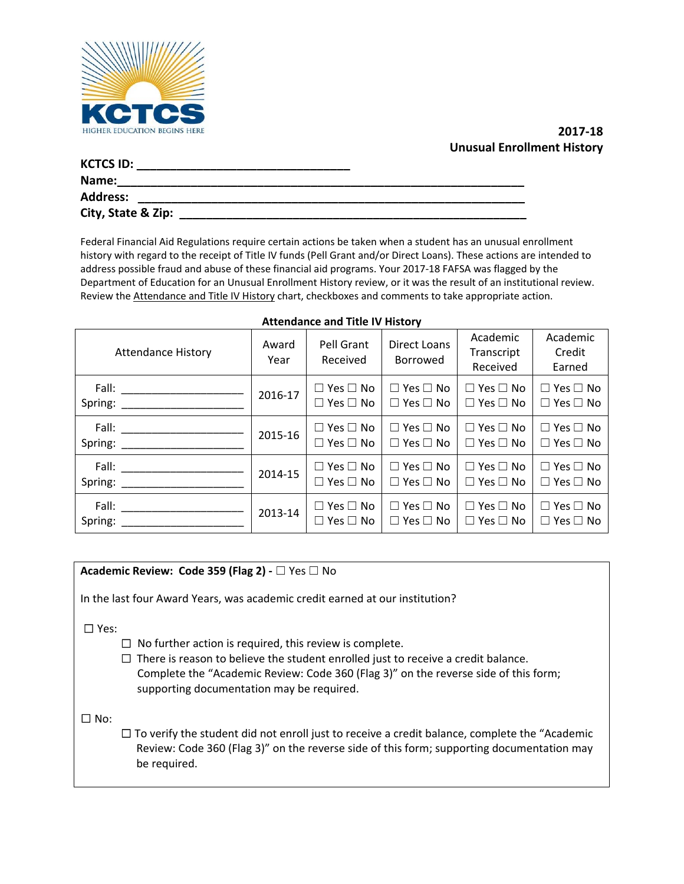

# **2021-2022 Unusual Enrollment History**

| <b>KCTCS ID:</b>   |  |
|--------------------|--|
| Name:              |  |
| <b>Address:</b>    |  |
| City, State & Zip: |  |

Federal Financial Aid Regulations require certain actions be taken when a student has an unusual enrollment history with regard to the receipt of Title IV funds (Pell Grant and/or Direct Loans). These actions are intended to address possible fraud and abuse of these financial aid programs. Your 2021-2022 FAFSA was flagged by the Department of Education for an Unusual Enrollment History review, or it was chosen as the result of an institutional review. Review the Attendance and Title IV History chart, checkboxes and comments to take appropriate action.

| <b>Attendance History</b>                                  | Award<br>Year | Pell Grant<br>Received                       | <b>Direct Loans</b><br>Borrowed              | Academic<br>Transcript<br>Received           | Academic<br>Credit<br>Earned                 |
|------------------------------------------------------------|---------------|----------------------------------------------|----------------------------------------------|----------------------------------------------|----------------------------------------------|
|                                                            | 2020-21       | $\Box$ Yes $\Box$ No<br>$\Box$ Yes $\Box$ No | $\Box$ Yes $\Box$ No<br>$\Box$ Yes $\Box$ No | $\Box$ Yes $\Box$ No<br>$\Box$ Yes $\Box$ No | $\Box$ Yes $\Box$ No<br>$\Box$ Yes $\Box$ No |
| Spring:<br><u> 1980 - Andrea Amerikaanse kommunister (</u> | 2019-20       | $\Box$ Yes $\Box$ No<br>$\Box$ Yes $\Box$ No | $\Box$ Yes $\Box$ No<br>$\Box$ Yes $\Box$ No | $\Box$ Yes $\Box$ No<br>$\Box$ Yes $\Box$ No | $\Box$ Yes $\Box$ No<br>$\Box$ Yes $\Box$ No |
| Fall:<br>Spring:                                           | 2018-19       | $\Box$ Yes $\Box$ No<br>$\Box$ Yes $\Box$ No | $\Box$ Yes $\Box$ No<br>$\Box$ Yes $\Box$ No | $\Box$ Yes $\Box$ No<br>$\Box$ Yes $\Box$ No | $\Box$ Yes $\Box$ No<br>$\Box$ Yes $\Box$ No |
| Fall:<br>Spring:                                           | 2017-18       | $\Box$ Yes $\Box$ No<br>$\Box$ Yes $\Box$ No | $\Box$ Yes $\Box$ No<br>$\Box$ Yes $\Box$ No | $\Box$ Yes $\Box$ No<br>Yes $\Box$ No<br>П.  | $\Box$ Yes $\Box$ No<br>$\Box$ Yes $\Box$ No |

#### **Attendance and Title IV History**

### **Academic Review: Code 359 (Flag 2) -** ☐ Yes ☐ No

In the last four Award Years, was academic credit earned at our institution?

☐ Yes:

- $\Box$  No further action is required, this review is complete.
- $\Box$  There is reason to believe the student enrolled just to receive a credit balance. Complete the "Academic Review: Code 360 (Flag 3)" on the reverse side of this form; supporting documentation may be required.

☐ No:

 $\Box$  To verify the student did not enroll just to receive a credit balance, complete the "Academic Review: Code 360 (Flag 3)" on the reverse side of this form; supporting documentation may be required.